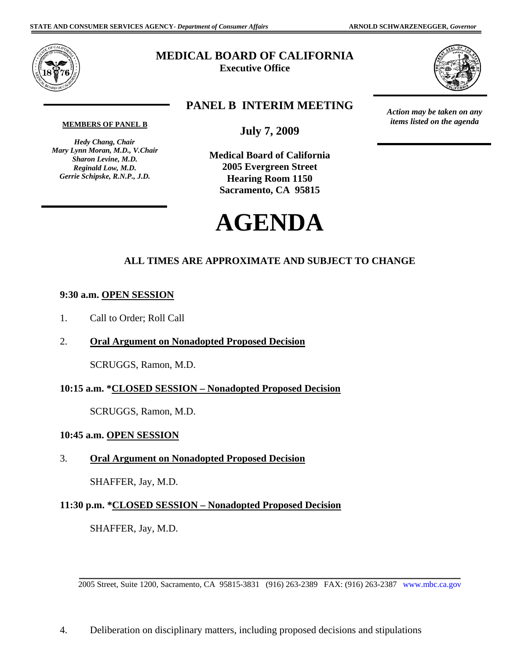

# **MEDICAL BOARD OF CALIFORNIA**

**Executive Office** 



*Action may be taken on any items listed on the agenda*

## **PANEL B INTERIM MEETING**

**MEMBERS OF PANEL B** 

 *Hedy Chang, Chair Mary Lynn Moran, M.D., V.Chair Sharon Levine, M.D. Reginald Low, M.D. Gerrie Schipske, R.N.P., J.D.* 

**July 7, 2009** 

**Medical Board of California 2005 Evergreen Street Hearing Room 1150 Sacramento, CA 95815** 



# **ALL TIMES ARE APPROXIMATE AND SUBJECT TO CHANGE**

### **9:30 a.m. OPEN SESSION**

- 1. Call to Order; Roll Call
- 2. **Oral Argument on Nonadopted Proposed Decision**

SCRUGGS, Ramon, M.D.

### **10:15 a.m. \*CLOSED SESSION – Nonadopted Proposed Decision**

SCRUGGS, Ramon, M.D.

#### **10:45 a.m. OPEN SESSION**

3. **Oral Argument on Nonadopted Proposed Decision** 

SHAFFER, Jay, M.D.

### **11:30 p.m. \*CLOSED SESSION – Nonadopted Proposed Decision**

SHAFFER, Jay, M.D.

\_\_\_\_\_\_\_\_\_\_\_\_\_\_\_\_\_\_\_\_\_\_\_\_\_\_\_\_\_\_\_\_\_\_\_\_\_\_\_\_\_\_\_\_\_\_\_\_\_\_\_\_\_\_\_\_\_\_\_\_\_\_\_\_\_\_\_\_\_\_\_\_\_\_\_\_\_\_\_\_\_\_\_ 2005 Street, Suite 1200, Sacramento, CA 95815-3831 (916) 263-2389 FAX: (916) 263-2387 <www.mbc.ca.gov>